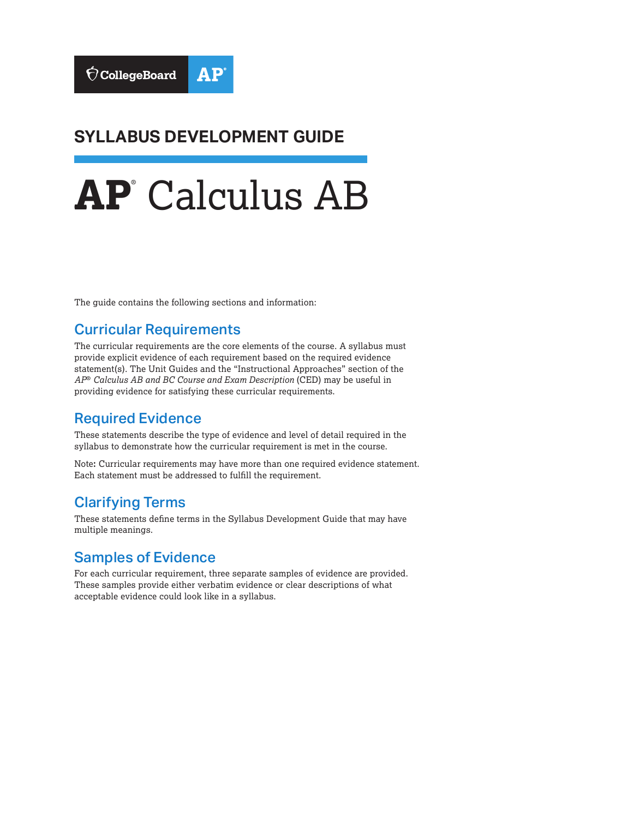### **SYLLABUS DEVELOPMENT GUIDE**

# **AP**® Calculus AB

The guide contains the following sections and information:

#### Curricular Requirements

The curricular requirements are the core elements of the course. A syllabus must provide explicit evidence of each requirement based on the required evidence statement(s). The Unit Guides and the "Instructional Approaches" section of the *AP*® *Calculus AB and BC Course and Exam Description* (CED) may be useful in providing evidence for satisfying these curricular requirements.

#### Required Evidence

These statements describe the type of evidence and level of detail required in the syllabus to demonstrate how the curricular requirement is met in the course.

Note**:** Curricular requirements may have more than one required evidence statement. Each statement must be addressed to fulfill the requirement.

#### Clarifying Terms

These statements define terms in the Syllabus Development Guide that may have multiple meanings.

#### Samples of Evidence

For each curricular requirement, three separate samples of evidence are provided. These samples provide either verbatim evidence or clear descriptions of what acceptable evidence could look like in a syllabus.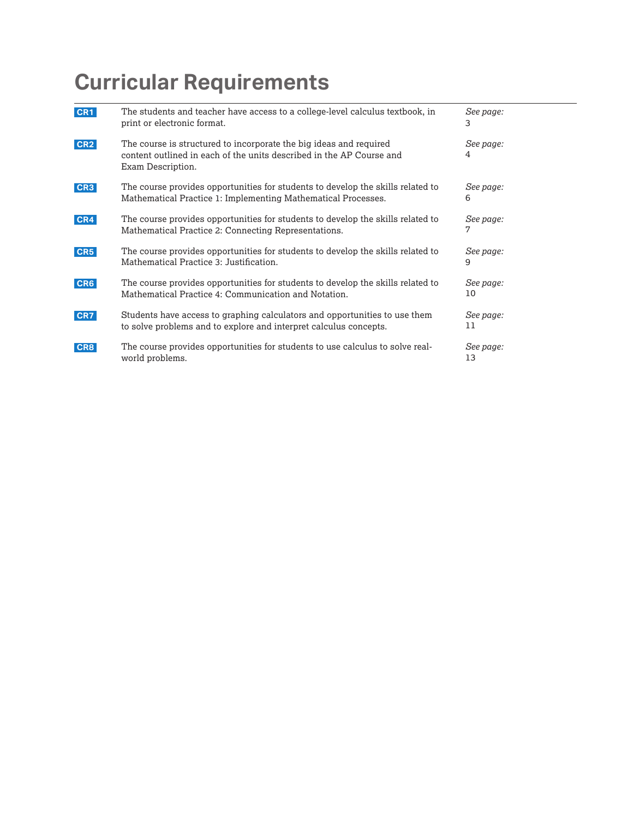| CR <sub>1</sub> | The students and teacher have access to a college-level calculus textbook, in<br>print or electronic format.                                                    | See page:<br>3  |
|-----------------|-----------------------------------------------------------------------------------------------------------------------------------------------------------------|-----------------|
| CR <sub>2</sub> | The course is structured to incorporate the big ideas and required<br>content outlined in each of the units described in the AP Course and<br>Exam Description. | See page:<br>4  |
| CR <sub>3</sub> | The course provides opportunities for students to develop the skills related to<br>Mathematical Practice 1: Implementing Mathematical Processes.                | See page:<br>6  |
| CR4             | The course provides opportunities for students to develop the skills related to<br>Mathematical Practice 2: Connecting Representations.                         | See page:       |
| CR5             | The course provides opportunities for students to develop the skills related to<br>Mathematical Practice 3: Justification.                                      | See page:<br>9  |
| CR <sub>6</sub> | The course provides opportunities for students to develop the skills related to<br>Mathematical Practice 4: Communication and Notation.                         | See page:<br>10 |
| CR7             | Students have access to graphing calculators and opportunities to use them<br>to solve problems and to explore and interpret calculus concepts.                 | See page:<br>11 |
| CR8             | The course provides opportunities for students to use calculus to solve real-<br>world problems.                                                                | See page:<br>13 |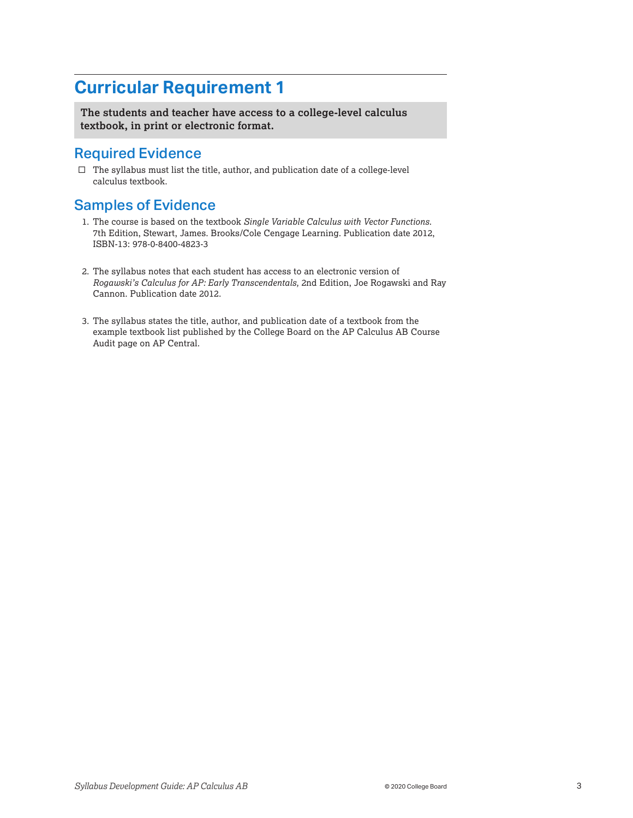<span id="page-2-0"></span>**The students and teacher have access to a college-level calculus textbook, in print or electronic format.** 

#### Required Evidence

 $\Box$  <br>The syllabus must list the title, author, and publication date of a college-level calculus textbook.

- 1. The course is based on the textbook *Single Variable Calculus with Vector Functions*. 7th Edition, Stewart, James. Brooks/Cole Cengage Learning. Publication date 2012, ISBN-13: 978-0-8400-4823-3
- 2. The syllabus notes that each student has access to an electronic version of *Rogawski's Calculus for AP: Early Transcendentals,* 2nd Edition, Joe Rogawski and Ray Cannon. Publication date 2012.
- 3. The syllabus states the title, author, and publication date of a textbook from the example textbook list published by the College Board on the AP Calculus AB Course Audit page on AP Central.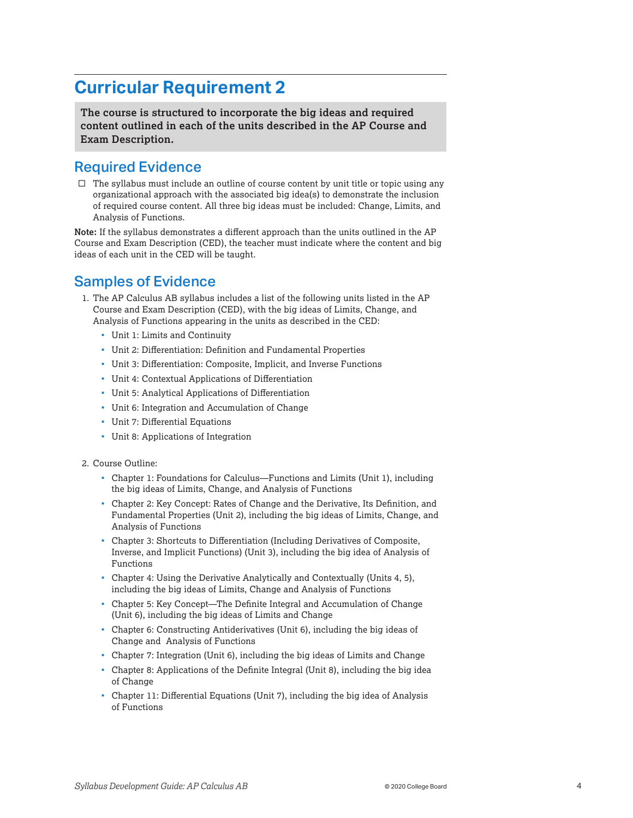<span id="page-3-0"></span>**The course is structured to incorporate the big ideas and required content outlined in each of the units described in the AP Course and Exam Description.** 

#### Required Evidence

 $\Box$  The syllabus must include an outline of course content by unit title or topic using any organizational approach with the associated big idea(s) to demonstrate the inclusion of required course content. All three big ideas must be included: Change, Limits, and Analysis of Functions.

**Note:** If the syllabus demonstrates a different approach than the units outlined in the AP Course and Exam Description (CED), the teacher must indicate where the content and big ideas of each unit in the CED will be taught.

- 1. The AP Calculus AB syllabus includes a list of the following units listed in the AP Course and Exam Description (CED), with the big ideas of Limits, Change, and Analysis of Functions appearing in the units as described in the CED:
	- Unit 1: Limits and Continuity
	- Unit 2: Differentiation: Definition and Fundamental Properties
	- Unit 3: Differentiation: Composite, Implicit, and Inverse Functions
	- Unit 4: Contextual Applications of Differentiation
	- Unit 5: Analytical Applications of Differentiation
	- Unit 6: Integration and Accumulation of Change
	- Unit 7: Differential Equations
	- Unit 8: Applications of Integration
- 2. Course Outline:
	- Chapter 1: Foundations for Calculus—Functions and Limits (Unit 1), including the big ideas of Limits, Change, and Analysis of Functions
	- Chapter 2: Key Concept: Rates of Change and the Derivative, Its Definition, and Fundamental Properties (Unit 2), including the big ideas of Limits, Change, and Analysis of Functions
	- Chapter 3: Shortcuts to Differentiation (Including Derivatives of Composite, Inverse, and Implicit Functions) (Unit 3), including the big idea of Analysis of Functions
	- Chapter 4: Using the Derivative Analytically and Contextually (Units 4, 5), including the big ideas of Limits, Change and Analysis of Functions
	- Chapter 5: Key Concept—The Definite Integral and Accumulation of Change (Unit 6), including the big ideas of Limits and Change
	- Chapter 6: Constructing Antiderivatives (Unit 6), including the big ideas of Change and Analysis of Functions
	- Chapter 7: Integration (Unit 6), including the big ideas of Limits and Change
	- Chapter 8: Applications of the Definite Integral (Unit 8), including the big idea of Change
	- Chapter 11: Differential Equations (Unit 7), including the big idea of Analysis of Functions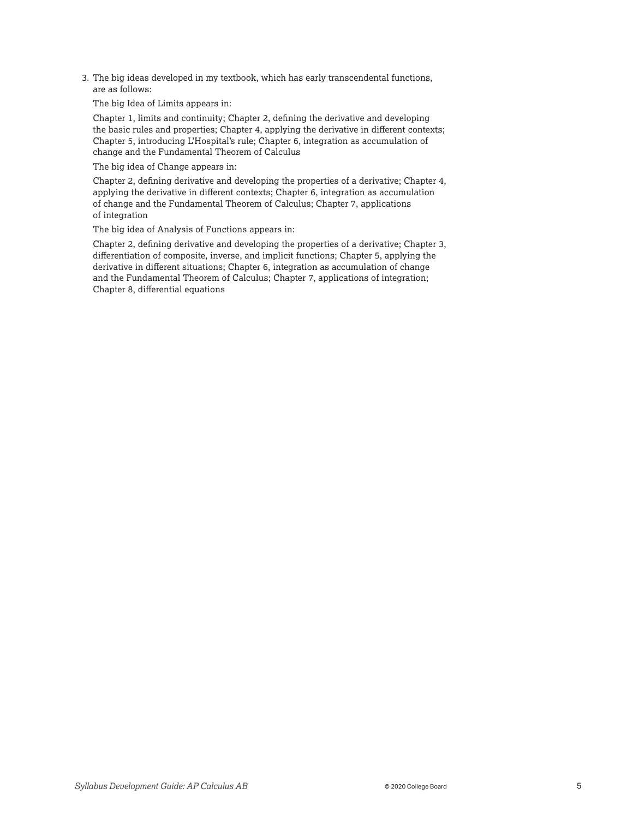3. The big ideas developed in my textbook, which has early transcendental functions, are as follows:

The big Idea of Limits appears in:

Chapter 1, limits and continuity; Chapter 2, defining the derivative and developing the basic rules and properties; Chapter 4, applying the derivative in different contexts; Chapter 5, introducing L'Hospital's rule; Chapter 6, integration as accumulation of change and the Fundamental Theorem of Calculus

The big idea of Change appears in:

Chapter 2, defining derivative and developing the properties of a derivative; Chapter 4, applying the derivative in different contexts; Chapter 6, integration as accumulation of change and the Fundamental Theorem of Calculus; Chapter 7, applications of integration

The big idea of Analysis of Functions appears in:

Chapter 2, defining derivative and developing the properties of a derivative; Chapter 3, differentiation of composite, inverse, and implicit functions; Chapter 5, applying the derivative in different situations; Chapter 6, integration as accumulation of change and the Fundamental Theorem of Calculus; Chapter 7, applications of integration; Chapter 8, differential equations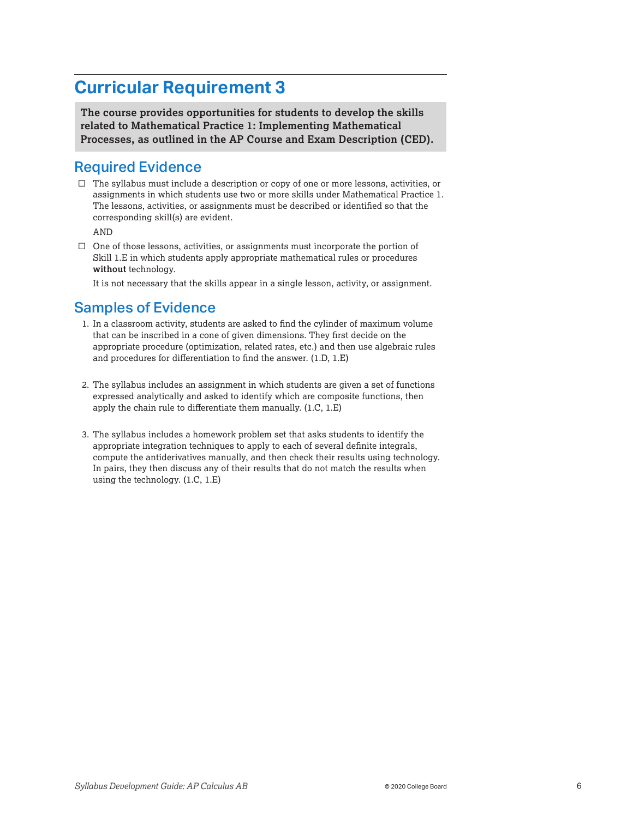<span id="page-5-0"></span>**The course provides opportunities for students to develop the skills related to Mathematical Practice 1: Implementing Mathematical Processes, as outlined in the AP Course and Exam Description (CED).** 

#### Required Evidence

 $\Box$  The syllabus must include a description or copy of one or more lessons, activities, or assignments in which students use two or more skills under Mathematical Practice 1. The lessons, activities, or assignments must be described or identified so that the corresponding skill(s) are evident.

AND

 $\square$  One of those lessons, activities, or assignments must incorporate the portion of Skill 1.E in which students apply appropriate mathematical rules or procedures **without** technology.

It is not necessary that the skills appear in a single lesson, activity, or assignment.

- 1. In a classroom activity, students are asked to find the cylinder of maximum volume that can be inscribed in a cone of given dimensions. They first decide on the appropriate procedure (optimization, related rates, etc.) and then use algebraic rules and procedures for differentiation to find the answer. (1.D, 1.E)
- 2. The syllabus includes an assignment in which students are given a set of functions expressed analytically and asked to identify which are composite functions, then apply the chain rule to differentiate them manually. (1.C, 1.E)
- 3. The syllabus includes a homework problem set that asks students to identify the appropriate integration techniques to apply to each of several definite integrals, compute the antiderivatives manually, and then check their results using technology. In pairs, they then discuss any of their results that do not match the results when using the technology. (1.C, 1.E)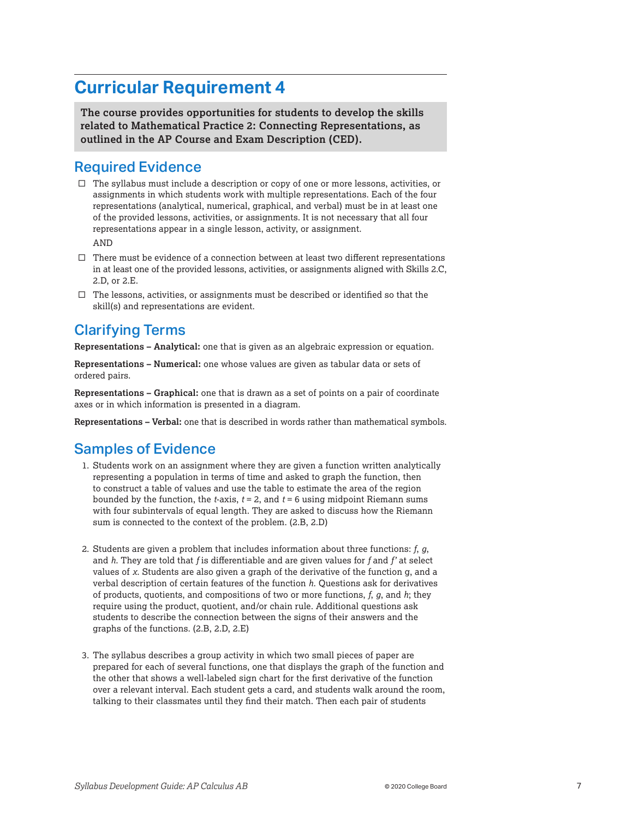<span id="page-6-0"></span>**The course provides opportunities for students to develop the skills related to Mathematical Practice 2: Connecting Representations, as outlined in the AP Course and Exam Description (CED).** 

#### Required Evidence

 $\Box$  The syllabus must include a description or copy of one or more lessons, activities, or assignments in which students work with multiple representations. Each of the four representations (analytical, numerical, graphical, and verbal) must be in at least one of the provided lessons, activities, or assignments. It is not necessary that all four representations appear in a single lesson, activity, or assignment.

AND

- $\square$  There must be evidence of a connection between at least two different representations in at least one of the provided lessons, activities, or assignments aligned with Skills 2.C, 2.D, or 2.E.
- $\square$  The lessons, activities, or assignments must be described or identified so that the skill(s) and representations are evident.

#### Clarifying Terms

**Representations – Analytical:** one that is given as an algebraic expression or equation.

**Representations – Numerical:** one whose values are given as tabular data or sets of ordered pairs.

**Representations – Graphical:** one that is drawn as a set of points on a pair of coordinate axes or in which information is presented in a diagram.

**Representations – Verbal:** one that is described in words rather than mathematical symbols.

- 1. Students work on an assignment where they are given a function written analytically representing a population in terms of time and asked to graph the function, then to construct a table of values and use the table to estimate the area of the region bounded by the function, the *t*-axis, *t* = 2, and *t* = 6 using midpoint Riemann sums with four subintervals of equal length. They are asked to discuss how the Riemann sum is connected to the context of the problem. (2.B, 2.D)
- 2. Students are given a problem that includes information about three functions: *f*, *g*, and *h*. They are told that *f* is differentiable and are given values for *f* and *f'* at select values of *x*. Students are also given a graph of the derivative of the function g, and a verbal description of certain features of the function *h*. Questions ask for derivatives of products, quotients, and compositions of two or more functions, *f*, *g*, and *h*; they require using the product, quotient, and/or chain rule. Additional questions ask students to describe the connection between the signs of their answers and the graphs of the functions. (2.B, 2.D, 2.E)
- 3. The syllabus describes a group activity in which two small pieces of paper are prepared for each of several functions, one that displays the graph of the function and the other that shows a well-labeled sign chart for the first derivative of the function over a relevant interval. Each student gets a card, and students walk around the room, talking to their classmates until they find their match. Then each pair of students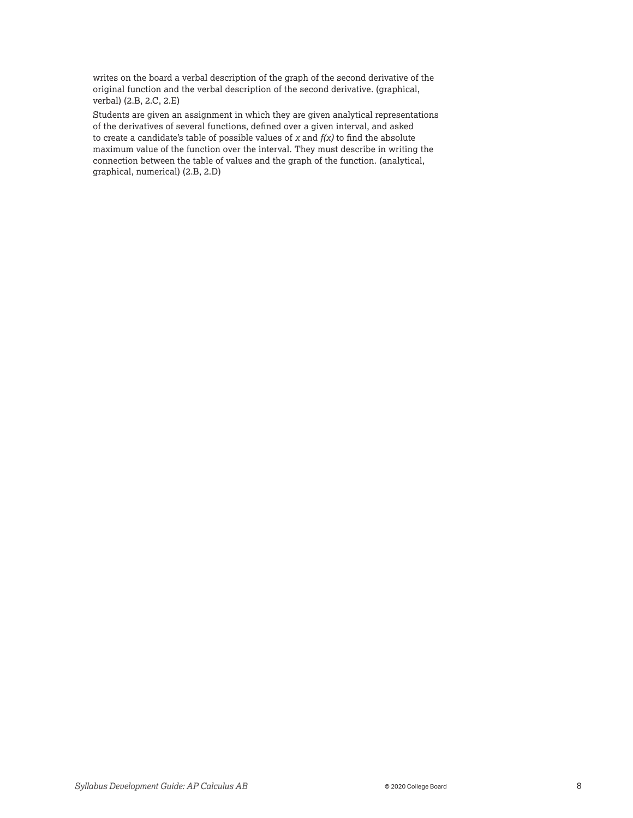writes on the board a verbal description of the graph of the second derivative of the original function and the verbal description of the second derivative. (graphical, verbal) (2.B, 2.C, 2.E)

Students are given an assignment in which they are given analytical representations of the derivatives of several functions, defined over a given interval, and asked to create a candidate's table of possible values of *x* and *f(x)* to find the absolute maximum value of the function over the interval. They must describe in writing the connection between the table of values and the graph of the function. (analytical, graphical, numerical) (2.B, 2.D)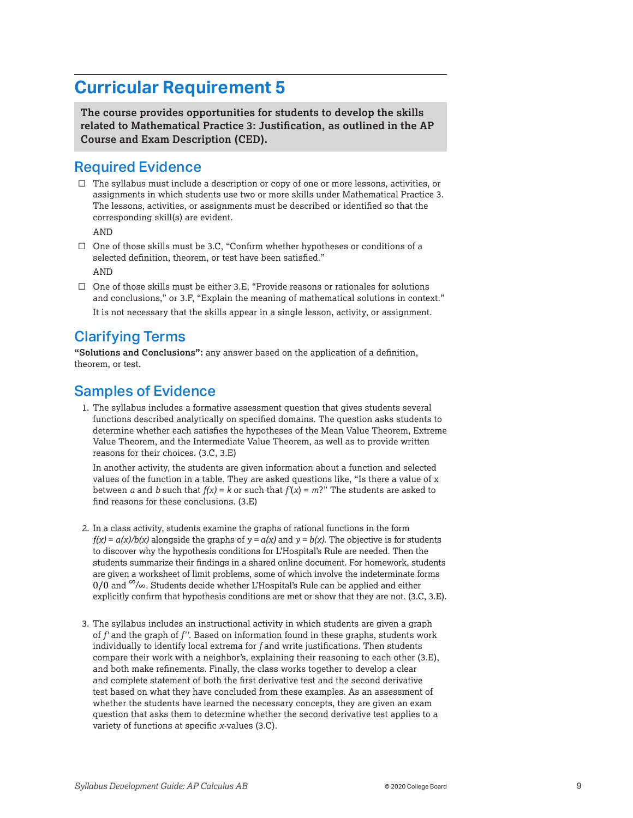<span id="page-8-0"></span>**The course provides opportunities for students to develop the skills related to Mathematical Practice 3: Justification, as outlined in the AP Course and Exam Description (CED).** 

#### Required Evidence

 $\Box$  The syllabus must include a description or copy of one or more lessons, activities, or assignments in which students use two or more skills under Mathematical Practice 3. The lessons, activities, or assignments must be described or identified so that the corresponding skill(s) are evident.

AND

- $\square$  One of those skills must be 3.C, "Confirm whether hypotheses or conditions of a selected definition, theorem, or test have been satisfied." AND
- $\Box$  One of those skills must be either 3.E, "Provide reasons or rationales for solutions and conclusions," or 3.F, "Explain the meaning of mathematical solutions in context." It is not necessary that the skills appear in a single lesson, activity, or assignment.

#### Clarifying Terms

**"Solutions and Conclusions":** any answer based on the application of a definition, theorem, or test.

#### Samples of Evidence

1. The syllabus includes a formative assessment question that gives students several functions described analytically on specified domains. The question asks students to determine whether each satisfies the hypotheses of the Mean Value Theorem, Extreme Value Theorem, and the Intermediate Value Theorem, as well as to provide written reasons for their choices. (3.C, 3.E)

In another activity, the students are given information about a function and selected values of the function in a table. They are asked questions like, "Is there a value of x between *a* and *b* such that  $f(x) = k$  or such that  $f'(x) = m$ ?" The students are asked to find reasons for these conclusions. (3.E)

- 2. In a class activity, students examine the graphs of rational functions in the form *f(x)* =  $a(x)/b(x)$  alongside the graphs of  $y = a(x)$  and  $y = b(x)$ . The objective is for students to discover why the hypothesis conditions for L'Hospital's Rule are needed. Then the students summarize their findings in a shared online document. For homework, students are given a worksheet of limit problems, some of which involve the indeterminate forms 0/0 and  $\infty$ / $\infty$ . Students decide whether L'Hospital's Rule can be applied and either explicitly confirm that hypothesis conditions are met or show that they are not. (3.C, 3.E).
- 3. The syllabus includes an instructional activity in which students are given a graph of *f'* and the graph of *f''*. Based on information found in these graphs, students work individually to identify local extrema for *f* and write justifications. Then students compare their work with a neighbor's, explaining their reasoning to each other (3.E), and both make refinements. Finally, the class works together to develop a clear and complete statement of both the first derivative test and the second derivative test based on what they have concluded from these examples. As an assessment of whether the students have learned the necessary concepts, they are given an exam question that asks them to determine whether the second derivative test applies to a variety of functions at specific *x*-values (3.C).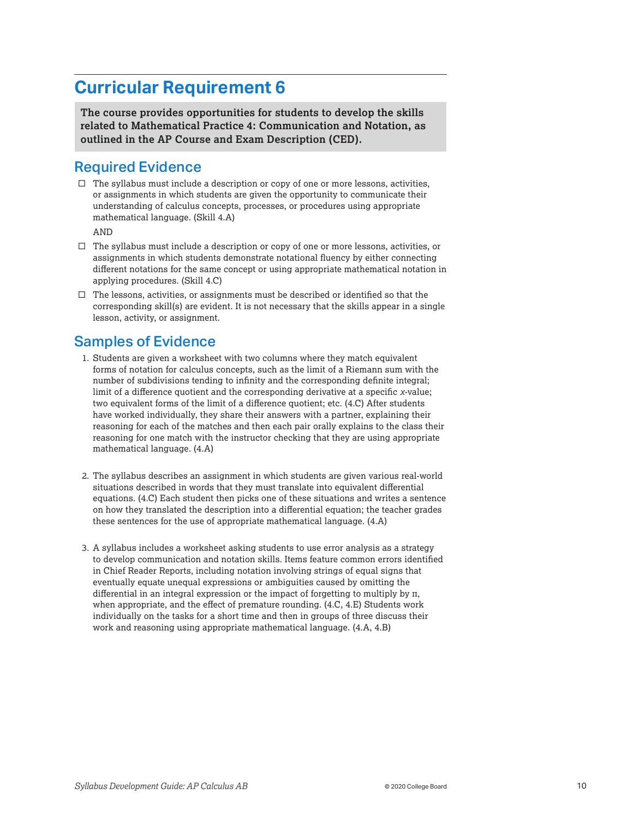<span id="page-9-0"></span>**The course provides opportunities for students to develop the skills related to Mathematical Practice 4: Communication and Notation, as outlined in the AP Course and Exam Description (CED).** 

#### Required Evidence

 $\Box$  The syllabus must include a description or copy of one or more lessons, activities, or assignments in which students are given the opportunity to communicate their understanding of calculus concepts, processes, or procedures using appropriate mathematical language. (Skill 4.A)

AND

- $\Box$  The syllabus must include a description or copy of one or more lessons, activities, or assignments in which students demonstrate notational fluency by either connecting different notations for the same concept or using appropriate mathematical notation in applying procedures. (Skill 4.C)
- $\square$  The lessons, activities, or assignments must be described or identified so that the corresponding skill(s) are evident. It is not necessary that the skills appear in a single lesson, activity, or assignment.

- 1. Students are given a worksheet with two columns where they match equivalent forms of notation for calculus concepts, such as the limit of a Riemann sum with the number of subdivisions tending to infinity and the corresponding definite integral; limit of a difference quotient and the corresponding derivative at a specific *x*-value; two equivalent forms of the limit of a difference quotient; etc. (4.C) After students have worked individually, they share their answers with a partner, explaining their reasoning for each of the matches and then each pair orally explains to the class their reasoning for one match with the instructor checking that they are using appropriate mathematical language. (4.A)
- 2. The syllabus describes an assignment in which students are given various real-world situations described in words that they must translate into equivalent differential equations. (4.C) Each student then picks one of these situations and writes a sentence on how they translated the description into a differential equation; the teacher grades these sentences for the use of appropriate mathematical language. (4.A)
- 3. A syllabus includes a worksheet asking students to use error analysis as a strategy to develop communication and notation skills. Items feature common errors identified in Chief Reader Reports, including notation involving strings of equal signs that eventually equate unequal expressions or ambiguities caused by omitting the differential in an integral expression or the impact of forgetting to multiply by π, when appropriate, and the effect of premature rounding. (4.C, 4.E) Students work individually on the tasks for a short time and then in groups of three discuss their work and reasoning using appropriate mathematical language. (4.A, 4.B)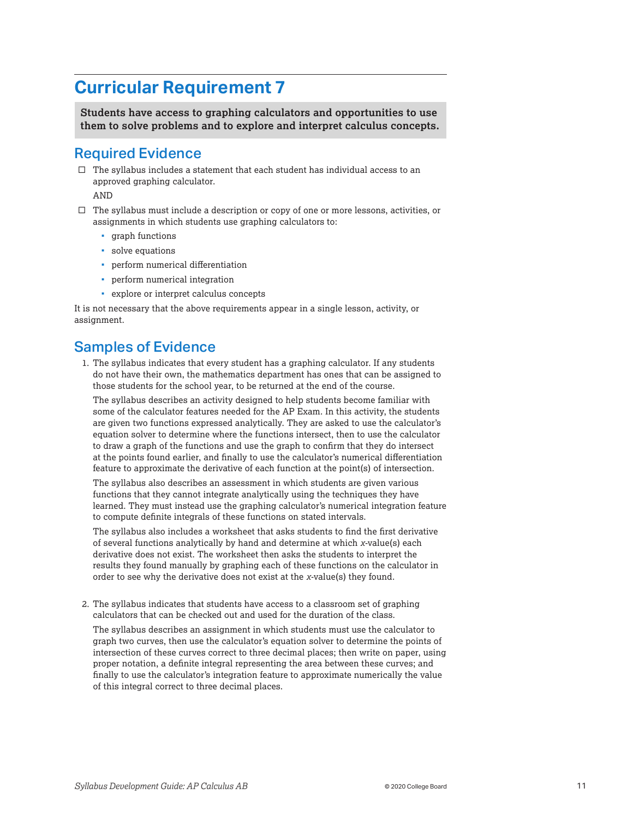<span id="page-10-0"></span>**Students have access to graphing calculators and opportunities to use them to solve problems and to explore and interpret calculus concepts.** 

#### Required Evidence

 $\square$  The syllabus includes a statement that each student has individual access to an approved graphing calculator.

AND

- $\square$  The syllabus must include a description or copy of one or more lessons, activities, or assignments in which students use graphing calculators to:
	- **graph** functions
	- solve equations
	- perform numerical differentiation
	- **•** perform numerical integration
	- explore or interpret calculus concepts

It is not necessary that the above requirements appear in a single lesson, activity, or assignment.

#### Samples of Evidence

1. The syllabus indicates that every student has a graphing calculator. If any students do not have their own, the mathematics department has ones that can be assigned to those students for the school year, to be returned at the end of the course.

The syllabus describes an activity designed to help students become familiar with some of the calculator features needed for the AP Exam. In this activity, the students are given two functions expressed analytically. They are asked to use the calculator's equation solver to determine where the functions intersect, then to use the calculator to draw a graph of the functions and use the graph to confirm that they do intersect at the points found earlier, and finally to use the calculator's numerical differentiation feature to approximate the derivative of each function at the point(s) of intersection.

The syllabus also describes an assessment in which students are given various functions that they cannot integrate analytically using the techniques they have learned. They must instead use the graphing calculator's numerical integration feature to compute definite integrals of these functions on stated intervals.

The syllabus also includes a worksheet that asks students to find the first derivative of several functions analytically by hand and determine at which *x*-value(s) each derivative does not exist. The worksheet then asks the students to interpret the results they found manually by graphing each of these functions on the calculator in order to see why the derivative does not exist at the *x*-value(s) they found.

2. The syllabus indicates that students have access to a classroom set of graphing calculators that can be checked out and used for the duration of the class.

The syllabus describes an assignment in which students must use the calculator to graph two curves, then use the calculator's equation solver to determine the points of intersection of these curves correct to three decimal places; then write on paper, using proper notation, a definite integral representing the area between these curves; and finally to use the calculator's integration feature to approximate numerically the value of this integral correct to three decimal places.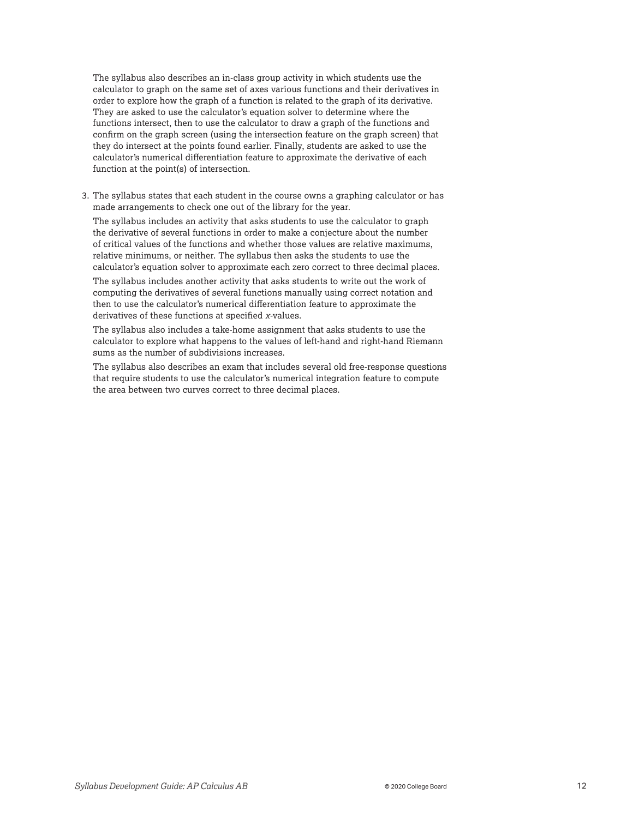The syllabus also describes an in-class group activity in which students use the calculator to graph on the same set of axes various functions and their derivatives in order to explore how the graph of a function is related to the graph of its derivative. They are asked to use the calculator's equation solver to determine where the functions intersect, then to use the calculator to draw a graph of the functions and confirm on the graph screen (using the intersection feature on the graph screen) that they do intersect at the points found earlier. Finally, students are asked to use the calculator's numerical differentiation feature to approximate the derivative of each function at the point(s) of intersection.

3. The syllabus states that each student in the course owns a graphing calculator or has made arrangements to check one out of the library for the year.

The syllabus includes an activity that asks students to use the calculator to graph the derivative of several functions in order to make a conjecture about the number of critical values of the functions and whether those values are relative maximums, relative minimums, or neither. The syllabus then asks the students to use the calculator's equation solver to approximate each zero correct to three decimal places.

The syllabus includes another activity that asks students to write out the work of computing the derivatives of several functions manually using correct notation and then to use the calculator's numerical differentiation feature to approximate the derivatives of these functions at specified *x*-values.

The syllabus also includes a take-home assignment that asks students to use the calculator to explore what happens to the values of left-hand and right-hand Riemann sums as the number of subdivisions increases.

The syllabus also describes an exam that includes several old free-response questions that require students to use the calculator's numerical integration feature to compute the area between two curves correct to three decimal places.